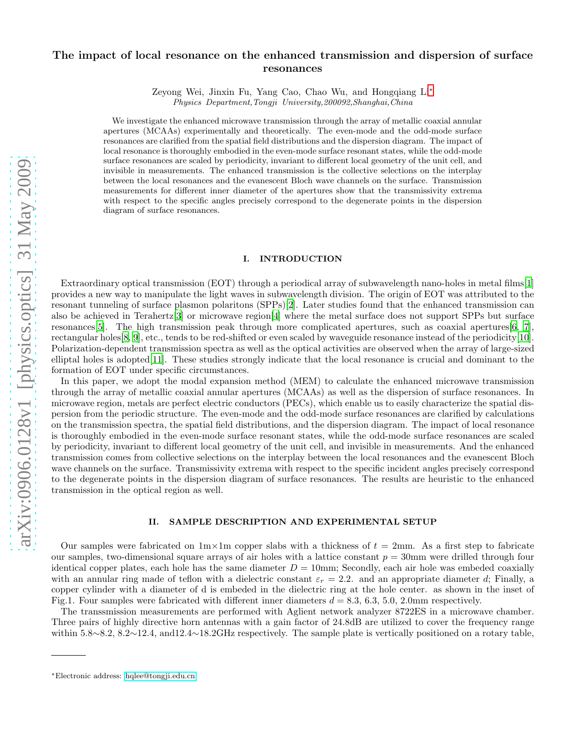# The impact of local resonance on the enhanced transmission and dispersion of surface resonances

Zeyong Wei, Jinxin Fu, Yang Cao, Chao Wu, and Hongqiang Li[∗](#page-0-0) Physics Department,Tongji University,200092,Shanghai,China

We investigate the enhanced microwave transmission through the array of metallic coaxial annular apertures (MCAAs) experimentally and theoretically. The even-mode and the odd-mode surface resonances are clarified from the spatial field distributions and the dispersion diagram. The impact of local resonance is thoroughly embodied in the even-mode surface resonant states, while the odd-mode surface resonances are scaled by periodicity, invariant to different local geometry of the unit cell, and invisible in measurements. The enhanced transmission is the collective selections on the interplay between the local resonances and the evanescent Bloch wave channels on the surface. Transmission measurements for different inner diameter of the apertures show that the transmissivity extrema with respect to the specific angles precisely correspond to the degenerate points in the dispersion diagram of surface resonances.

#### I. INTRODUCTION

Extraordinary optical transmission (EOT) through a periodical array of subwavelength nano-holes in metal films[\[1](#page-4-0)] provides a new way to manipulate the light waves in subwavelength division. The origin of EOT was attributed to the resonant tunneling of surface plasmon polaritons (SPPs)[\[2\]](#page-4-1). Later studies found that the enhanced transmission can also be achieved in Terahertz[\[3\]](#page-4-2) or microwave region[\[4\]](#page-4-3) where the metal surface does not support SPPs but surface resonances[\[5\]](#page-4-4). The high transmission peak through more complicated apertures, such as coaxial apertures[\[6,](#page-4-5) [7\]](#page-4-6), rectangular holes[\[8,](#page-4-7) [9](#page-4-8)], etc., tends to be red-shifted or even scaled by waveguide resonance instead of the periodicity[\[10\]](#page-4-9). Polarization-dependent transmission spectra as well as the optical activities are observed when the array of large-sized elliptal holes is adopted[\[11\]](#page-4-10). These studies strongly indicate that the local resonance is crucial and dominant to the formation of EOT under specific circumstances.

In this paper, we adopt the modal expansion method (MEM) to calculate the enhanced microwave transmission through the array of metallic coaxial annular apertures (MCAAs) as well as the dispersion of surface resonances. In microwave region, metals are perfect electric conductors (PECs), which enable us to easily characterize the spatial dispersion from the periodic structure. The even-mode and the odd-mode surface resonances are clarified by calculations on the transmission spectra, the spatial field distributions, and the dispersion diagram. The impact of local resonance is thoroughly embodied in the even-mode surface resonant states, while the odd-mode surface resonances are scaled by periodicity, invariant to different local geometry of the unit cell, and invisible in measurements. And the enhanced transmission comes from collective selections on the interplay between the local resonances and the evanescent Bloch wave channels on the surface. Transmissivity extrema with respect to the specific incident angles precisely correspond to the degenerate points in the dispersion diagram of surface resonances. The results are heuristic to the enhanced transmission in the optical region as well.

#### II. SAMPLE DESCRIPTION AND EXPERIMENTAL SETUP

Our samples were fabricated on  $1m \times 1m$  copper slabs with a thickness of  $t = 2mm$ . As a first step to fabricate our samples, two-dimensional square arrays of air holes with a lattice constant  $p = 30$ mm were drilled through four identical copper plates, each hole has the same diameter  $D = 10$ mm; Secondly, each air hole was embeded coaxially with an annular ring made of teflon with a dielectric constant  $\varepsilon_r = 2.2$ . and an appropriate diameter d; Finally, a copper cylinder with a diameter of d is embeded in the dielectric ring at the hole center. as shown in the inset of Fig.1. Four samples were fabricated with different inner diameters  $d = 8.3, 6.3, 5.0, 2.0$ mm respectively.

The transsmission measurements are performed with Aglient network analyzer 8722ES in a microwave chamber. Three pairs of highly directive horn antennas with a gain factor of 24.8dB are utilized to cover the frequency range within 5.8∼8.2, 8.2∼12.4, and12.4∼18.2GHz respectively. The sample plate is vertically positioned on a rotary table,

<span id="page-0-0"></span><sup>∗</sup>Electronic address: [hqlee@tongji.edu.cn](mailto:hqlee@tongji.edu.cn)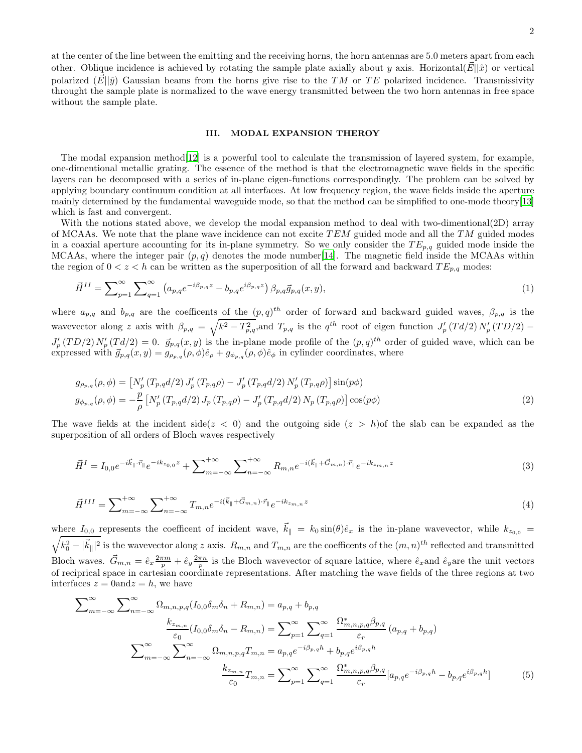at the center of the line between the emitting and the receiving horns, the horn antennas are 5.0 meters apart from each other. Oblique incidence is achieved by rotating the sample plate axially about y axis. Horizontal( $\vec{E}||\hat{x}$ ) or vertical polarized  $(\vec{E} || \hat{y})$  Gaussian beams from the horns give rise to the TM or TE polarized incidence. Transmissivity throught the sample plate is normalized to the wave energy transmitted between the two horn antennas in free space without the sample plate.

#### III. MODAL EXPANSION THEROY

The modal expansion method[\[12\]](#page-4-11) is a powerful tool to calculate the transmission of layered system, for example, one-dimentional metallic grating. The essence of the method is that the electromagnetic wave fields in the specific layers can be decomposed with a series of in-plane eigen-functions correspondingly. The problem can be solved by applying boundary continuum condition at all interfaces. At low frequency region, the wave fields inside the aperture mainly determined by the fundamental waveguide mode, so that the method can be simplified to one-mode theory[\[13\]](#page-4-12) which is fast and convergent.

With the notions stated above, we develop the modal expansion method to deal with two-dimentional(2D) array of MCAAs. We note that the plane wave incidence can not excite  $TEM$  guided mode and all the TM guided modes in a coaxial aperture accounting for its in-plane symmetry. So we only consider the  $TE_{p,q}$  guided mode inside the MCAAs, where the integer pair  $(p, q)$  denotes the mode number[\[14\]](#page-4-13). The magnetic field inside the MCAAs within the region of  $0 < z < h$  can be written as the superposition of all the forward and backward  $TE_{p,q}$  modes:

$$
\vec{H}^{II} = \sum_{p=1}^{\infty} \sum_{q=1}^{\infty} \left( a_{p,q} e^{-i\beta_{p,q}z} - b_{p,q} e^{i\beta_{p,q}z} \right) \beta_{p,q} \vec{g}_{p,q}(x,y), \tag{1}
$$

where  $a_{p,q}$  and  $b_{p,q}$  are the coefficents of the  $(p,q)^{th}$  order of forward and backward guided waves,  $\beta_{p,q}$  is the wavevector along z axis with  $\beta_{p,q} = \sqrt{k^2 - T_{p,q}^2}$ , and  $T_{p,q}$  is the  $q^{th}$  root of eigen function  $J'_p(Td/2)N'_p(TD/2)$  –  $J'_p(TD/2)N'_p(Td/2) = 0$ .  $\vec{g}_{p,q}(x, y)$  is the in-plane mode profile of the  $(p, q)^{th}$  order of guided wave, which can be expressed with  $\vec{g}_{p,q}(x, y) = g_{\rho_{p,q}}(\rho, \phi)\hat{e}_{\rho} + g_{\phi_{p,q}}(\rho, \phi)\hat{e}_{\phi}$  in cylinder coordinates, where

$$
g_{\rho_{p,q}}(\rho,\phi) = \left[N'_p(T_{p,q}d/2) J'_p(T_{p,q}\rho) - J'_p(T_{p,q}d/2) N'_p(T_{p,q}\rho)\right] \sin(p\phi)
$$
  
\n
$$
g_{\phi_{p,q}}(\rho,\phi) = -\frac{p}{\rho} \left[N'_p(T_{p,q}d/2) J_p(T_{p,q}\rho) - J'_p(T_{p,q}d/2) N_p(T_{p,q}\rho)\right] \cos(p\phi)
$$
\n(2)

<span id="page-1-1"></span>The wave fields at the incident side( $z < 0$ ) and the outgoing side ( $z > h$ ) of the slab can be expanded as the superposition of all orders of Bloch waves respectively

$$
\vec{H}^{I} = I_{0,0}e^{-i\vec{k}_{\parallel}\cdot\vec{r}_{\parallel}}e^{-ik_{z_{0,0}}z} + \sum_{m=-\infty}^{+\infty} \sum_{n=-\infty}^{+\infty} R_{m,n}e^{-i(\vec{k}_{\parallel}+\vec{G}_{m,n})\cdot\vec{r}_{\parallel}}e^{-ik_{z_{m,n}}z}
$$
(3)

$$
\vec{H}^{III} = \sum_{m=-\infty}^{+\infty} \sum_{n=-\infty}^{+\infty} T_{m,n} e^{-i(\vec{k}_{\parallel} + \vec{G}_{m,n}) \cdot \vec{r}_{\parallel}} e^{-i k_{z_{m,n}} z}
$$
(4)

where  $I_{0,0}$  represents the coefficent of incident wave,  $\vec{k}_{\parallel} = k_0 \sin(\theta) \hat{e}_x$  is the in-plane wavevector, while  $k_{z_{0,0}} =$  $\sqrt{k_0^2 - |\vec{k}_{\parallel}|^2}$  is the wavevector along z axis.  $R_{m,n}$  and  $T_{m,n}$  are the coefficents of the  $(m,n)^{th}$  reflected and transmitted Bloch waves.  $\vec{G}_{m,n} = \hat{e}_x \frac{2\pi m}{p} + \hat{e}_y \frac{2\pi n}{p}$  is the Bloch wavevector of square lattice, where  $\hat{e}_x$  and  $\hat{e}_y$  are the unit vectors of reciprical space in cartesian coordinate representations. After matching the wave fields of the three regions at two interfaces  $z = 0$  and  $z = h$ , we have

<span id="page-1-0"></span>
$$
\sum_{m=-\infty}^{\infty} \sum_{n=-\infty}^{\infty} \Omega_{m,n,p,q}(I_{0,0}\delta_{m}\delta_{n} + R_{m,n}) = a_{p,q} + b_{p,q}
$$
\n
$$
\sum_{m=-\infty}^{\infty} \sum_{\substack{\varepsilon_{0} \\ \varepsilon_{0}}}^{\infty} (I_{0,0}\delta_{m}\delta_{n} - R_{m,n}) = \sum_{p=1}^{\infty} \sum_{q=1}^{\infty} \frac{\Omega_{m,n,p,q}^{*}\beta_{p,q}}{\varepsilon_{r}} (a_{p,q} + b_{p,q})
$$
\n
$$
\sum_{m=-\infty}^{\infty} \sum_{n=-\infty}^{\infty} \Omega_{m,n,p,q} T_{m,n} = a_{p,q} e^{-i\beta_{p,q}h} + b_{p,q} e^{i\beta_{p,q}h}
$$
\n
$$
\frac{k_{z_{m,n}}}{\varepsilon_{0}} T_{m,n} = \sum_{p=1}^{\infty} \sum_{q=1}^{\infty} \frac{\Omega_{m,n,p,q}^{*}\beta_{p,q}}{\varepsilon_{r}} [a_{p,q} e^{-i\beta_{p,q}h} - b_{p,q} e^{i\beta_{p,q}h}] \tag{5}
$$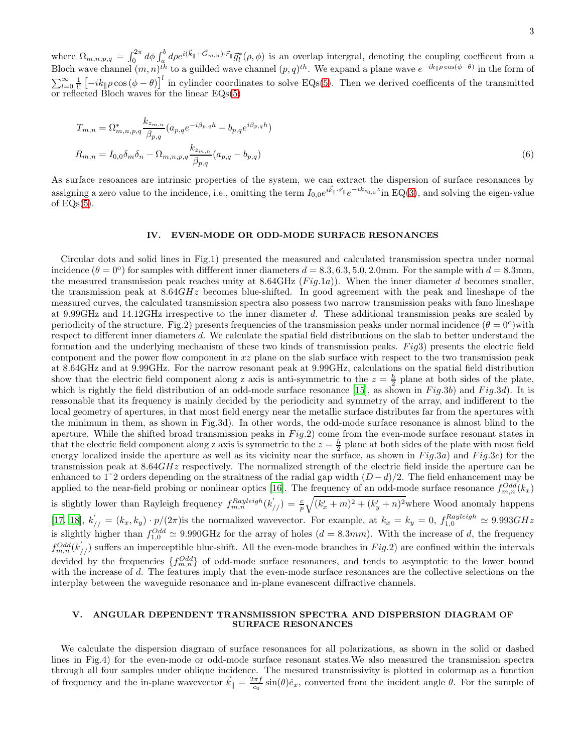where  $\Omega_{m,n,p,q} = \int_0^{2\pi} d\phi \int_a^b d\rho e^{i(\vec{k}_{\parallel} + \vec{G}_{m,n}) \cdot \vec{r}_{\parallel}} \vec{g}_l^*(\rho, \phi)$  is an overlap intergral, denoting the coupling coefficent from a Bloch wave channel  $(m, n)^{th}$  to a guilded wave channel  $(p, q)^{th}$ . We expand a plane wave  $e^{-ik_{\parallel} \rho \cos(\phi - \theta)}$  in the form of  $\sum_{l=0}^{\infty} \frac{1}{l!} \left[-ik_{\parallel}\rho\cos{(\phi-\theta)}\right]^l$  in cylinder coordinates to solve EQs[\(5\)](#page-1-0). Then we derived coefficents of the transmitted or reflected Bloch waves for the linear EQs[\(5\)](#page-1-0)

$$
T_{m,n} = \Omega_{m,n,p,q}^{*} \frac{k_{z_{m,n}}}{\beta_{p,q}} (a_{p,q} e^{-i\beta_{p,q}h} - b_{p,q} e^{i\beta_{p,q}h})
$$
  

$$
R_{m,n} = I_{0,0} \delta_m \delta_n - \Omega_{m,n,p,q} \frac{k_{z_{m,n}}}{\beta_{p,q}} (a_{p,q} - b_{p,q})
$$
 (6)

As surface resoances are intrinsic properties of the system, we can extract the dispersion of surface resonances by assigning a zero value to the incidence, i.e., omitting the term  $I_{0,0}e^{i\vec{k}_{\parallel}\cdot\vec{r}_{\parallel}}e^{-ik_{z_{0,0}}z}$  in EQ[\(3\)](#page-1-1), and solving the eigen-value of  $EQs(5)$  $EQs(5)$ .

#### IV. EVEN-MODE OR ODD-MODE SURFACE RESONANCES

Circular dots and solid lines in Fig.1) presented the measured and calculated transmission spectra under normal incidence  $(\theta = 0^{\circ})$  for samples with different inner diameters  $d = 8.3, 6.3, 5.0, 2.0$ mm. For the sample with  $d = 8.3$ mm, the measured transmission peak reaches unity at  $8.64\text{GHz}$  (Fig.1a)). When the inner diameter d becomes smaller, the transmission peak at  $8.64GHz$  becomes blue-shifted. In good agreement with the peak and lineshape of the measured curves, the calculated transmission spectra also possess two narrow transmission peaks with fano lineshape at 9.99GHz and 14.12GHz irrespective to the inner diameter d. These additional transmission peaks are scaled by periodicity of the structure. Fig.2) presents frequencies of the transmission peaks under normal incidence  $(\theta = 0^{\circ})$  with respect to different inner diameters d. We calculate the spatial field distributions on the slab to better understand the formation and the underlying mechanism of these two kinds of transmission peaks.  $Fiq3$ ) presents the electric field component and the power flow component in  $xz$  plane on the slab surface with respect to the two transmission peak at 8.64GHz and at 9.99GHz. For the narrow resonant peak at 9.99GHz, calculations on the spatial field distribution show that the electric field component along z axis is anti-symmetric to the  $z = \frac{h}{2}$  plane at both sides of the plate, which is rightly the field distribution of an odd-mode surface resonance [\[15\]](#page-4-14), as shown in  $Fig.3b$ ) and  $Fig.3d$ ). It is reasonable that its frequency is mainly decided by the periodicity and symmetry of the array, and indifferent to the local geometry of apertures, in that most field energy near the metallic surface distributes far from the apertures with the minimum in them, as shown in Fig.3d). In other words, the odd-mode surface resonance is almost blind to the aperture. While the shifted broad transmission peaks in  $Fig.2$ ) come from the even-mode surface resonant states in that the electric field component along z axis is symmetric to the  $z = \frac{h}{2}$  plane at both sides of the plate with most field energy localized inside the aperture as well as its vicinity near the surface, as shown in  $Fig.3a$ ) and  $Fig.3c$ ) for the transmission peak at 8.64GHz respectively. The normalized strength of the electric field inside the aperture can be enhanced to 1<sup>∼</sup>2 orders depending on the straitness of the radial gap width  $(D - d)/2$ . The field enhancement may be applied to the near-field probing or nonlinear optics [\[16\]](#page-4-15). The frequency of an odd-mode surface resonance  $f_{m,n}^{Odd}(k_x)$ is slightly lower than Rayleigh frequency  $f_{m,n}^{Rayleigh}(k'_{//}) = \frac{c}{p} \sqrt{(k'_x + m)^2 + (k'_y + n)^2}$  where Wood anomaly happens [\[17,](#page-4-16) [18\]](#page-4-17),  $k'_{//} = (k_x, k_y) \cdot p/(2\pi)$  is the normalized wavevector. For example, at  $k_x = k_y = 0$ ,  $f_{1,0}^{Rayleigh} \approx 9.993GHz$ is slightly higher than  $f_{1,0}^{Odd} \simeq 9.990 \text{GHz}$  for the array of holes  $(d = 8.3mm)$ . With the increase of d, the frequency  $f_{m,n}^{Odd}(k'_{//})$  suffers an imperceptible blue-shift. All the even-mode branches in  $Fig.2)$  are confined within the intervals devided by the frequencies  $\{f_{m,n}^{Odd}\}$  of odd-mode surface resonances, and tends to asymptotic to the lower bound with the increase of d. The features imply that the even-mode surface resonances are the collective selections on the interplay between the waveguide resonance and in-plane evanescent diffractive channels.

### V. ANGULAR DEPENDENT TRANSMISSION SPECTRA AND DISPERSION DIAGRAM OF SURFACE RESONANCES

We calculate the dispersion diagram of surface resonances for all polarizations, as shown in the solid or dashed lines in Fig.4) for the even-mode or odd-mode surface resonant states.We also measured the transmission spectra through all four samples under oblique incidence. The mesured transmissivity is plotted in colormap as a function of frequency and the in-plane wavevector  $\vec{k}_{\parallel} = \frac{2\pi f}{c_0} \sin(\theta) \hat{e}_x$ , converted from the incident angle  $\theta$ . For the sample of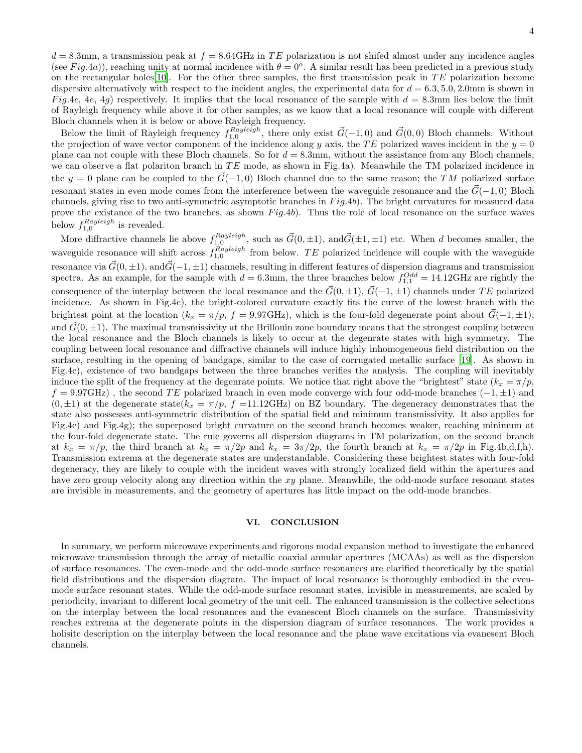$d = 8.3$ mm, a transmission peak at  $f = 8.64$ GHz in TE polarization is not shifted almost under any incidence angles (see Fig.4a)), reaching unity at normal incidence with  $\theta = 0^{\circ}$ . A similar result has been predicted in a previous study on the rectangular holes<sup>[\[10\]](#page-4-9)</sup>. For the other three samples, the first transmission peak in  $TE$  polarization become dispersive alternatively with respect to the incident angles, the experimental data for  $d = 6.3, 5.0, 2.0$ mm is shown in Fig.4c, 4e, 4g) respectively. It implies that the local resonance of the sample with  $d = 8.3$ mm lies below the limit of Rayleigh frequency while above it for other samples, as we know that a local resonance will couple with different Bloch channels when it is below or above Rayleigh frequency.

Below the limit of Rayleigh frequency  $f_{1,0}^{Rayleigh}$ , there only exist  $\vec{G}(-1,0)$  and  $\vec{G}(0,0)$  Bloch channels. Without the projection of wave vector component of the incidence along y axis, the TE polarized waves incident in the  $y = 0$ plane can not couple with these Bloch channels. So for  $d = 8.3$ mm, without the assistance from any Bloch channels, we can observe a flat polariton branch in  $TE$  mode, as shown in Fig.4a). Meanwhile the TM polarized incidence in the y = 0 plane can be coupled to the  $\vec{G}(-1, 0)$  Bloch channel due to the same reason; the TM poliarized surface resonant states in even mode comes from the interference between the waveguide resonance and the  $\vec{G}(-1, 0)$  Bloch channels, giving rise to two anti-symmetric asymptotic branches in  $Fig.4b$ ). The bright curvatures for measured data prove the existance of the two branches, as shown  $Fig.4b$ ). Thus the role of local resonance on the surface waves below  $f_{1,0}^{Rayleigh}$  is revealed. 1,0

More diffractive channels lie above  $f_{1,0}^{Rayleigh}$ , such as  $\vec{G}(0,\pm 1)$ , and  $\vec{G}(\pm 1,\pm 1)$  etc. When d becomes smaller, the waveguide resonance will shift across  $f_{1,0}^{Rayleigh}$  from below. TE polarized incidence will couple with the waveguide resonance via  $\vec{G}(0, \pm 1)$ , and $\vec{G}(-1, \pm 1)$  channels, resulting in different features of dispersion diagrams and transmission spectra. As an example, for the sample with  $d = 6.3$ mm, the three branches below  $f_{1,1}^{Odd} = 14.12 \text{GHz}$  are rightly the consequence of the interplay between the local resonance and the  $\vec{G}(0, \pm 1), \vec{G}(-1, \pm 1)$  channels under TE polarized incidence. As shown in Fig.4c), the bright-colored curvature exactly fits the curve of the lowest branch with the brightest point at the location ( $k_x = \pi/p$ , f = 9.97GHz), which is the four-fold degenerate point about  $\vec{G}(-1, \pm 1)$ , and  $\vec{G}(0, \pm 1)$ . The maximal transmissivity at the Brillouin zone boundary means that the strongest coupling between the local resonance and the Bloch channels is likely to occur at the degenrate states with high symmetry. The coupling between local resonance and diffractive channels will induce highly inhomogeneous field distribution on the surface, resulting in the opening of bandgaps, similar to the case of corrugated metallic surface [\[19](#page-4-18)]. As shown in Fig.4c), existence of two bandgaps between the three branches verifies the analysis. The coupling will inevitably induce the split of the frequency at the degenrate points. We notice that right above the "brightest" state  $(k_x = \pi/p$ ,  $f = 9.97 \text{GHz}$ , the second TE polarized branch in even mode converge with four odd-mode branches  $(-1, \pm 1)$  and  $(0, \pm 1)$  at the degenerate state( $k_x = \pi/p$ , f =11.12GHz) on BZ boundary. The degeneracy demonstrates that the state also possesses anti-symmetric distribution of the spatial field and minimum transmissivity. It also applies for Fig.4e) and Fig.4g); the superposed bright curvature on the second branch becomes weaker, reaching minimum at the four-fold degenerate state. The rule governs all dispersion diagrams in TM polarization, on the second branch at  $k_x = \pi/p$ , the third branch at  $k_x = \pi/2p$  and  $k_x = 3\pi/2p$ , the fourth branch at  $k_x = \pi/2p$  in Fig.4b,d,f,h). Transmission extrema at the degenerate states are understandable. Considering these brightest states with four-fold degeneracy, they are likely to couple with the incident waves with strongly localized field within the apertures and have zero group velocity along any direction within the  $xy$  plane. Meanwhile, the odd-mode surface resonant states are invisible in measurements, and the geometry of apertures has little impact on the odd-mode branches.

## VI. CONCLUSION

In summary, we perform microwave experiments and rigorous modal expansion method to investigate the enhanced microwave transmission through the array of metallic coaxial annular apertures (MCAAs) as well as the dispersion of surface resonances. The even-mode and the odd-mode surface resonances are clarified theoretically by the spatial field distributions and the dispersion diagram. The impact of local resonance is thoroughly embodied in the evenmode surface resonant states. While the odd-mode surface resonant states, invisible in measurements, are scaled by periodicity, invariant to different local geometry of the unit cell. The enhanced transmission is the collective selections on the interplay between the local resonances and the evanescent Bloch channels on the surface. Transmissivity reaches extrema at the degenerate points in the dispersion diagram of surface resonances. The work provides a holisitc description on the interplay between the local resonance and the plane wave excitations via evanesent Bloch channels.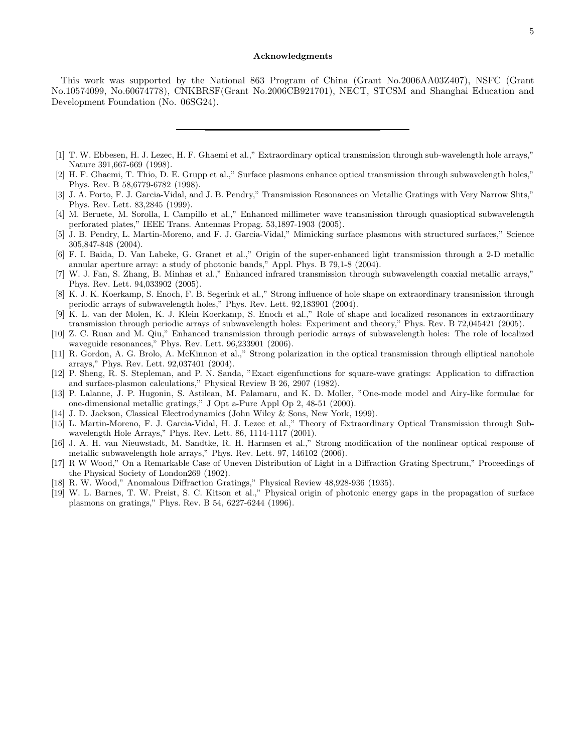#### Acknowledgments

This work was supported by the National 863 Program of China (Grant No.2006AA03Z407), NSFC (Grant No.10574099, No.60674778), CNKBRSF(Grant No.2006CB921701), NECT, STCSM and Shanghai Education and Development Foundation (No. 06SG24).

- <span id="page-4-0"></span>[1] T. W. Ebbesen, H. J. Lezec, H. F. Ghaemi et al.," Extraordinary optical transmission through sub-wavelength hole arrays," Nature 391,667-669 (1998).
- <span id="page-4-1"></span>[2] H. F. Ghaemi, T. Thio, D. E. Grupp et al.," Surface plasmons enhance optical transmission through subwavelength holes," Phys. Rev. B 58,6779-6782 (1998).
- <span id="page-4-2"></span>[3] J. A. Porto, F. J. Garcia-Vidal, and J. B. Pendry," Transmission Resonances on Metallic Gratings with Very Narrow Slits," Phys. Rev. Lett. 83,2845 (1999).
- <span id="page-4-3"></span>[4] M. Beruete, M. Sorolla, I. Campillo et al.," Enhanced millimeter wave transmission through quasioptical subwavelength perforated plates," IEEE Trans. Antennas Propag. 53,1897-1903 (2005).
- <span id="page-4-4"></span>[5] J. B. Pendry, L. Martin-Moreno, and F. J. Garcia-Vidal," Mimicking surface plasmons with structured surfaces," Science 305,847-848 (2004).
- <span id="page-4-5"></span>[6] F. I. Baida, D. Van Labeke, G. Granet et al.," Origin of the super-enhanced light transmission through a 2-D metallic annular aperture array: a study of photonic bands," Appl. Phys. B 79,1-8 (2004).
- <span id="page-4-6"></span>[7] W. J. Fan, S. Zhang, B. Minhas et al.," Enhanced infrared transmission through subwavelength coaxial metallic arrays," Phys. Rev. Lett. 94,033902 (2005).
- <span id="page-4-7"></span>[8] K. J. K. Koerkamp, S. Enoch, F. B. Segerink et al.," Strong influence of hole shape on extraordinary transmission through periodic arrays of subwavelength holes," Phys. Rev. Lett. 92,183901 (2004).
- <span id="page-4-8"></span>[9] K. L. van der Molen, K. J. Klein Koerkamp, S. Enoch et al.," Role of shape and localized resonances in extraordinary transmission through periodic arrays of subwavelength holes: Experiment and theory," Phys. Rev. B 72,045421 (2005).
- <span id="page-4-9"></span>[10] Z. C. Ruan and M. Qiu," Enhanced transmission through periodic arrays of subwavelength holes: The role of localized waveguide resonances," Phys. Rev. Lett. 96,233901 (2006).
- <span id="page-4-10"></span>[11] R. Gordon, A. G. Brolo, A. McKinnon et al.," Strong polarization in the optical transmission through elliptical nanohole arrays," Phys. Rev. Lett. 92,037401 (2004).
- <span id="page-4-11"></span>[12] P. Sheng, R. S. Stepleman, and P. N. Sanda, "Exact eigenfunctions for square-wave gratings: Application to diffraction and surface-plasmon calculations," Physical Review B 26, 2907 (1982).
- <span id="page-4-12"></span>[13] P. Lalanne, J. P. Hugonin, S. Astilean, M. Palamaru, and K. D. Moller, "One-mode model and Airy-like formulae for one-dimensional metallic gratings," J Opt a-Pure Appl Op 2, 48-51 (2000).
- <span id="page-4-13"></span>[14] J. D. Jackson, Classical Electrodynamics (John Wiley & Sons, New York, 1999).
- <span id="page-4-14"></span>[15] L. Martin-Moreno, F. J. Garcia-Vidal, H. J. Lezec et al.," Theory of Extraordinary Optical Transmission through Subwavelength Hole Arrays," Phys. Rev. Lett. 86, 1114-1117 (2001).
- <span id="page-4-15"></span>[16] J. A. H. van Nieuwstadt, M. Sandtke, R. H. Harmsen et al.," Strong modification of the nonlinear optical response of metallic subwavelength hole arrays," Phys. Rev. Lett. 97, 146102 (2006).
- <span id="page-4-16"></span>[17] R W Wood," On a Remarkable Case of Uneven Distribution of Light in a Diffraction Grating Spectrum," Proceedings of the Physical Society of London269 (1902).
- <span id="page-4-17"></span>[18] R. W. Wood," Anomalous Diffraction Gratings," Physical Review 48,928-936 (1935).
- <span id="page-4-18"></span>[19] W. L. Barnes, T. W. Preist, S. C. Kitson et al.," Physical origin of photonic energy gaps in the propagation of surface plasmons on gratings," Phys. Rev. B 54, 6227-6244 (1996).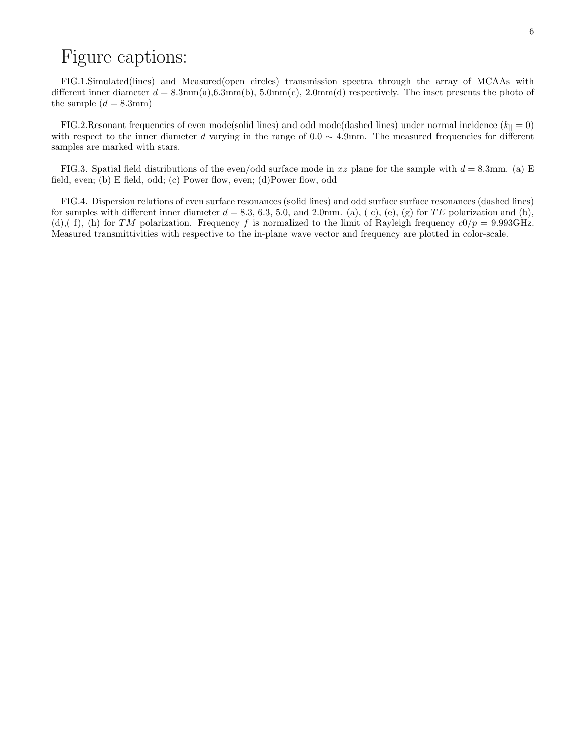# Figure captions:

FIG.1.Simulated(lines) and Measured(open circles) transmission spectra through the array of MCAAs with different inner diameter  $d = 8.3 \text{mm(a)}, 6.3 \text{mm(b)}, 5.0 \text{mm(c)}, 2.0 \text{mm(d)}$  respectively. The inset presents the photo of the sample  $(d = 8.3$ mm)

FIG.2.Resonant frequencies of even mode(solid lines) and odd mode(dashed lines) under normal incidence ( $k_{\parallel} = 0$ ) with respect to the inner diameter d varying in the range of  $0.0 \sim 4.9$ mm. The measured frequencies for different samples are marked with stars.

FIG.3. Spatial field distributions of the even/odd surface mode in xz plane for the sample with  $d = 8.3$ mm. (a) E field, even; (b) E field, odd; (c) Power flow, even; (d)Power flow, odd

FIG.4. Dispersion relations of even surface resonances (solid lines) and odd surface surface resonances (dashed lines) for samples with different inner diameter  $d = 8.3, 6.3, 5.0,$  and 2.0mm. (a), (c), (e), (g) for TE polarization and (b), (d),( f), (h) for TM polarization. Frequency f is normalized to the limit of Rayleigh frequency  $c0/p = 9.993 \text{GHz}$ . Measured transmittivities with respective to the in-plane wave vector and frequency are plotted in color-scale.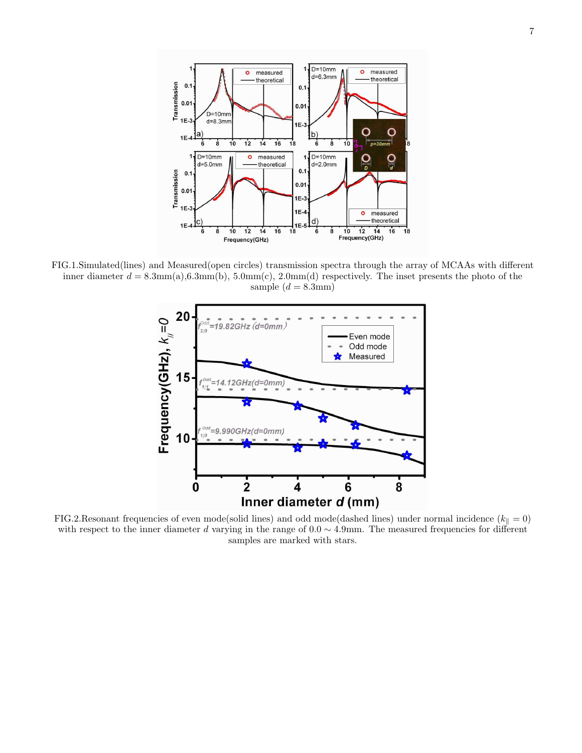

FIG.1.Simulated(lines) and Measured(open circles) transmission spectra through the array of MCAAs with different inner diameter  $d = 8.3 \text{mm}(a), 6.3 \text{mm}(b), 5.0 \text{mm}(c), 2.0 \text{mm}(d)$  respectively. The inset presents the photo of the sample  $(d = 8.3$ mm)



FIG.2.Resonant frequencies of even mode(solid lines) and odd mode(dashed lines) under normal incidence ( $k_{\parallel} = 0$ ) with respect to the inner diameter d varying in the range of  $0.0 \sim 4.9$ mm. The measured frequencies for different samples are marked with stars.